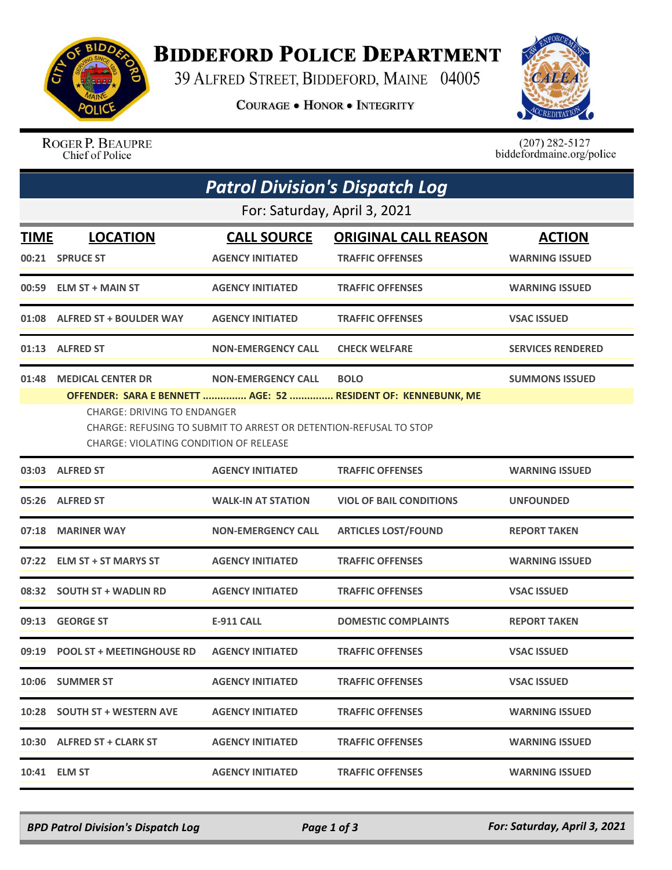

## **BIDDEFORD POLICE DEPARTMENT**

39 ALFRED STREET, BIDDEFORD, MAINE 04005

**COURAGE . HONOR . INTEGRITY** 



ROGER P. BEAUPRE Chief of Police

 $(207)$  282-5127<br>biddefordmaine.org/police

|             | <b>Patrol Division's Dispatch Log</b>                                                                                                                                                                              |                           |                                |                          |  |  |  |  |  |
|-------------|--------------------------------------------------------------------------------------------------------------------------------------------------------------------------------------------------------------------|---------------------------|--------------------------------|--------------------------|--|--|--|--|--|
|             | For: Saturday, April 3, 2021                                                                                                                                                                                       |                           |                                |                          |  |  |  |  |  |
| <b>TIME</b> | <b>LOCATION</b>                                                                                                                                                                                                    | <b>CALL SOURCE</b>        | <b>ORIGINAL CALL REASON</b>    | <b>ACTION</b>            |  |  |  |  |  |
|             | 00:21 SPRUCE ST                                                                                                                                                                                                    | <b>AGENCY INITIATED</b>   | <b>TRAFFIC OFFENSES</b>        | <b>WARNING ISSUED</b>    |  |  |  |  |  |
| 00:59       | <b>ELM ST + MAIN ST</b>                                                                                                                                                                                            | <b>AGENCY INITIATED</b>   | <b>TRAFFIC OFFENSES</b>        | <b>WARNING ISSUED</b>    |  |  |  |  |  |
|             | 01:08 ALFRED ST + BOULDER WAY                                                                                                                                                                                      | <b>AGENCY INITIATED</b>   | <b>TRAFFIC OFFENSES</b>        | <b>VSAC ISSUED</b>       |  |  |  |  |  |
|             | 01:13 ALFRED ST                                                                                                                                                                                                    | <b>NON-EMERGENCY CALL</b> | <b>CHECK WELFARE</b>           | <b>SERVICES RENDERED</b> |  |  |  |  |  |
| 01:48       | <b>MEDICAL CENTER DR</b>                                                                                                                                                                                           | <b>NON-EMERGENCY CALL</b> | <b>BOLO</b>                    | <b>SUMMONS ISSUED</b>    |  |  |  |  |  |
|             | OFFENDER: SARA E BENNETT  AGE: 52  RESIDENT OF: KENNEBUNK, ME<br><b>CHARGE: DRIVING TO ENDANGER</b><br>CHARGE: REFUSING TO SUBMIT TO ARREST OR DETENTION-REFUSAL TO STOP<br>CHARGE: VIOLATING CONDITION OF RELEASE |                           |                                |                          |  |  |  |  |  |
|             | 03:03 ALFRED ST                                                                                                                                                                                                    | <b>AGENCY INITIATED</b>   | <b>TRAFFIC OFFENSES</b>        | <b>WARNING ISSUED</b>    |  |  |  |  |  |
|             | 05:26 ALFRED ST                                                                                                                                                                                                    | <b>WALK-IN AT STATION</b> | <b>VIOL OF BAIL CONDITIONS</b> | <b>UNFOUNDED</b>         |  |  |  |  |  |
| 07:18       | <b>MARINER WAY</b>                                                                                                                                                                                                 | <b>NON-EMERGENCY CALL</b> | <b>ARTICLES LOST/FOUND</b>     | <b>REPORT TAKEN</b>      |  |  |  |  |  |
|             | 07:22 ELM ST + ST MARYS ST                                                                                                                                                                                         | <b>AGENCY INITIATED</b>   | <b>TRAFFIC OFFENSES</b>        | <b>WARNING ISSUED</b>    |  |  |  |  |  |
|             | 08:32 SOUTH ST + WADLIN RD                                                                                                                                                                                         | <b>AGENCY INITIATED</b>   | <b>TRAFFIC OFFENSES</b>        | <b>VSAC ISSUED</b>       |  |  |  |  |  |
| 09:13       | <b>GEORGE ST</b>                                                                                                                                                                                                   | <b>E-911 CALL</b>         | <b>DOMESTIC COMPLAINTS</b>     | <b>REPORT TAKEN</b>      |  |  |  |  |  |
|             | 09:19 POOL ST + MEETINGHOUSE RD                                                                                                                                                                                    | <b>AGENCY INITIATED</b>   | <b>TRAFFIC OFFENSES</b>        | <b>VSAC ISSUED</b>       |  |  |  |  |  |
|             | 10:06 SUMMER ST                                                                                                                                                                                                    | <b>AGENCY INITIATED</b>   | <b>TRAFFIC OFFENSES</b>        | <b>VSAC ISSUED</b>       |  |  |  |  |  |
|             | 10:28 SOUTH ST + WESTERN AVE                                                                                                                                                                                       | <b>AGENCY INITIATED</b>   | <b>TRAFFIC OFFENSES</b>        | <b>WARNING ISSUED</b>    |  |  |  |  |  |
|             | 10:30 ALFRED ST + CLARK ST                                                                                                                                                                                         | <b>AGENCY INITIATED</b>   | <b>TRAFFIC OFFENSES</b>        | <b>WARNING ISSUED</b>    |  |  |  |  |  |
|             | 10:41 ELM ST                                                                                                                                                                                                       | <b>AGENCY INITIATED</b>   | <b>TRAFFIC OFFENSES</b>        | <b>WARNING ISSUED</b>    |  |  |  |  |  |

*BPD Patrol Division's Dispatch Log Page 1 of 3 For: Saturday, April 3, 2021*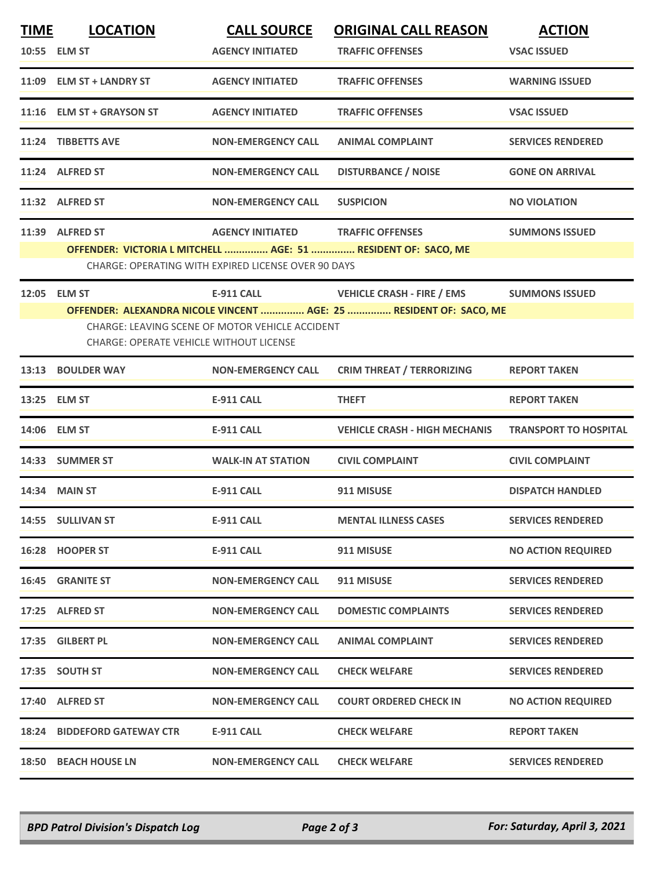| <b>TIME</b> | <b>LOCATION</b>                                | <b>CALL SOURCE</b>                                  | <b>ORIGINAL CALL REASON</b>                                                              | <b>ACTION</b>                |
|-------------|------------------------------------------------|-----------------------------------------------------|------------------------------------------------------------------------------------------|------------------------------|
|             | 10:55 ELM ST                                   | <b>AGENCY INITIATED</b>                             | <b>TRAFFIC OFFENSES</b>                                                                  | <b>VSAC ISSUED</b>           |
|             | 11:09 ELM ST + LANDRY ST                       | <b>AGENCY INITIATED</b>                             | <b>TRAFFIC OFFENSES</b>                                                                  | <b>WARNING ISSUED</b>        |
|             | 11:16 ELM ST + GRAYSON ST                      | <b>AGENCY INITIATED</b>                             | <b>TRAFFIC OFFENSES</b>                                                                  | <b>VSAC ISSUED</b>           |
|             | 11:24 TIBBETTS AVE                             | <b>NON-EMERGENCY CALL</b>                           | <b>ANIMAL COMPLAINT</b>                                                                  | <b>SERVICES RENDERED</b>     |
|             | 11:24 ALFRED ST                                | <b>NON-EMERGENCY CALL</b>                           | <b>DISTURBANCE / NOISE</b>                                                               | <b>GONE ON ARRIVAL</b>       |
|             | 11:32 ALFRED ST                                | <b>NON-EMERGENCY CALL</b>                           | <b>SUSPICION</b>                                                                         | <b>NO VIOLATION</b>          |
|             | 11:39 ALFRED ST                                | <b>AGENCY INITIATED</b>                             | <b>TRAFFIC OFFENSES</b><br>OFFENDER: VICTORIA L MITCHELL  AGE: 51  RESIDENT OF: SACO, ME | <b>SUMMONS ISSUED</b>        |
|             |                                                | CHARGE: OPERATING WITH EXPIRED LICENSE OVER 90 DAYS |                                                                                          |                              |
|             | 12:05 ELM ST                                   | E-911 CALL                                          | <b>VEHICLE CRASH - FIRE / EMS</b>                                                        | <b>SUMMONS ISSUED</b>        |
|             |                                                |                                                     | OFFENDER: ALEXANDRA NICOLE VINCENT  AGE: 25  RESIDENT OF: SACO, ME                       |                              |
|             | <b>CHARGE: OPERATE VEHICLE WITHOUT LICENSE</b> | CHARGE: LEAVING SCENE OF MOTOR VEHICLE ACCIDENT     |                                                                                          |                              |
|             | 13:13 BOULDER WAY                              | <b>NON-EMERGENCY CALL</b>                           | <b>CRIM THREAT / TERRORIZING</b>                                                         | <b>REPORT TAKEN</b>          |
|             | 13:25 ELM ST                                   | <b>E-911 CALL</b>                                   | <b>THEFT</b>                                                                             | <b>REPORT TAKEN</b>          |
|             | 14:06 ELM ST                                   | <b>E-911 CALL</b>                                   | <b>VEHICLE CRASH - HIGH MECHANIS</b>                                                     | <b>TRANSPORT TO HOSPITAL</b> |
|             | 14:33 SUMMER ST                                | <b>WALK-IN AT STATION</b>                           | <b>CIVIL COMPLAINT</b>                                                                   | <b>CIVIL COMPLAINT</b>       |
|             | 14:34 MAIN ST                                  | <b>E-911 CALL</b>                                   | 911 MISUSE                                                                               | <b>DISPATCH HANDLED</b>      |
|             | 14:55 SULLIVAN ST                              | <b>E-911 CALL</b>                                   | <b>MENTAL ILLNESS CASES</b>                                                              | <b>SERVICES RENDERED</b>     |
|             | 16:28 HOOPER ST                                | E-911 CALL                                          | 911 MISUSE                                                                               | <b>NO ACTION REQUIRED</b>    |
|             | <b>16:45 GRANITE ST</b>                        | <b>NON-EMERGENCY CALL</b>                           | 911 MISUSE                                                                               | <b>SERVICES RENDERED</b>     |
|             | 17:25 ALFRED ST                                | <b>NON-EMERGENCY CALL</b>                           | <b>DOMESTIC COMPLAINTS</b>                                                               | <b>SERVICES RENDERED</b>     |
|             | 17:35 GILBERT PL                               | <b>NON-EMERGENCY CALL</b>                           | <b>ANIMAL COMPLAINT</b>                                                                  | <b>SERVICES RENDERED</b>     |
|             | 17:35 SOUTH ST                                 | <b>NON-EMERGENCY CALL</b>                           | <b>CHECK WELFARE</b>                                                                     | <b>SERVICES RENDERED</b>     |
|             | 17:40 ALFRED ST                                | <b>NON-EMERGENCY CALL</b>                           | <b>COURT ORDERED CHECK IN</b>                                                            | <b>NO ACTION REQUIRED</b>    |
|             | <b>18:24 BIDDEFORD GATEWAY CTR</b>             | E-911 CALL                                          | <b>CHECK WELFARE</b>                                                                     | <b>REPORT TAKEN</b>          |
|             | 18:50 BEACH HOUSE LN                           | <b>NON-EMERGENCY CALL</b>                           | <b>CHECK WELFARE</b>                                                                     | <b>SERVICES RENDERED</b>     |
|             |                                                |                                                     |                                                                                          |                              |